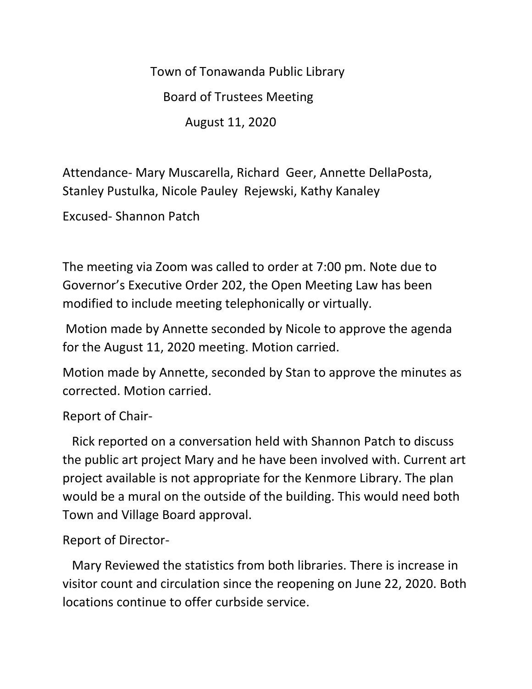Town of Tonawanda Public Library

Board of Trustees Meeting

August 11, 2020

Attendance- Mary Muscarella, Richard Geer, Annette DellaPosta, Stanley Pustulka, Nicole Pauley Rejewski, Kathy Kanaley

Excused- Shannon Patch

The meeting via Zoom was called to order at 7:00 pm. Note due to Governor's Executive Order 202, the Open Meeting Law has been modified to include meeting telephonically or virtually.

Motion made by Annette seconded by Nicole to approve the agenda for the August 11, 2020 meeting. Motion carried.

Motion made by Annette, seconded by Stan to approve the minutes as corrected. Motion carried.

## Report of Chair-

 Rick reported on a conversation held with Shannon Patch to discuss the public art project Mary and he have been involved with. Current art project available is not appropriate for the Kenmore Library. The plan would be a mural on the outside of the building. This would need both Town and Village Board approval.

Report of Director-

 Mary Reviewed the statistics from both libraries. There is increase in visitor count and circulation since the reopening on June 22, 2020. Both locations continue to offer curbside service.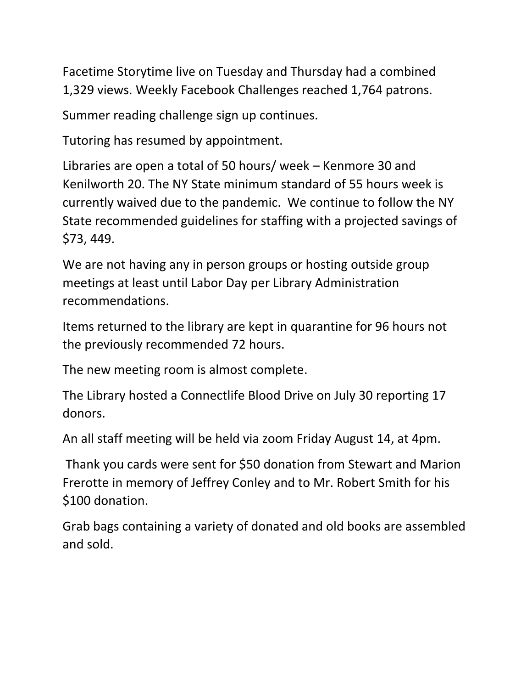Facetime Storytime live on Tuesday and Thursday had a combined 1,329 views. Weekly Facebook Challenges reached 1,764 patrons.

Summer reading challenge sign up continues.

Tutoring has resumed by appointment.

Libraries are open a total of 50 hours/ week – Kenmore 30 and Kenilworth 20. The NY State minimum standard of 55 hours week is currently waived due to the pandemic. We continue to follow the NY State recommended guidelines for staffing with a projected savings of \$73, 449.

We are not having any in person groups or hosting outside group meetings at least until Labor Day per Library Administration recommendations.

Items returned to the library are kept in quarantine for 96 hours not the previously recommended 72 hours.

The new meeting room is almost complete.

The Library hosted a Connectlife Blood Drive on July 30 reporting 17 donors.

An all staff meeting will be held via zoom Friday August 14, at 4pm.

Thank you cards were sent for \$50 donation from Stewart and Marion Frerotte in memory of Jeffrey Conley and to Mr. Robert Smith for his \$100 donation.

Grab bags containing a variety of donated and old books are assembled and sold.